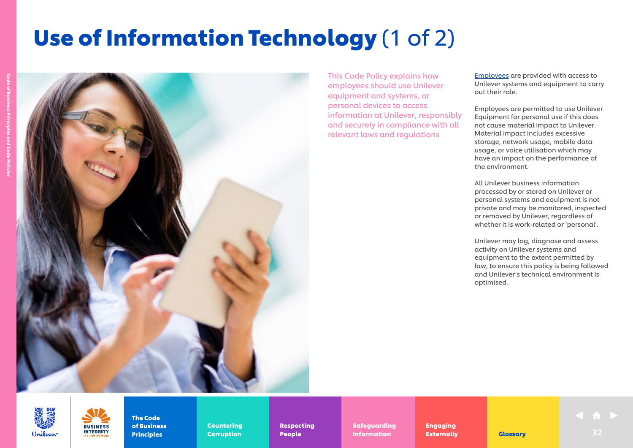# Use of Information Technology (1 of 2)



This Code Policy explains how employees should use Unilever equipment and systems, or personal devices to access information at Unilever, responsibly and securely in compliance with all relevant laws and regulations

[Employees](https://unilever.sharepoint.com/:b:/s/Code%20and%20Code%20Policies/EdzBsjeFnGhEr7DcM2GrA5gBpFG3-zoytb8kb7YpAEwF1A?e=9pNGFV) are provided with access to Unilever systems and equipment to carry out their role.

Employees are permitted to use Unilever Equipment for personal use if this does not cause material impact to Unilever. Material impact includes excessive storage, network usage, mobile data usage, or voice utilisation which may have an impact on the performance of the environment.

All Unilever business information processed by or stored on Unilever or personal systems and equipment is not private and may be monitored, inspected or removed by Unilever, regardless of whether it is work-related or 'personal'.

Unilever may log, diagnose and assess activity on Unilever systems and equipment to the extent permitted by law, to ensure this policy is being followed and Unilever's technical environment is optimised.

Unilever



of Business Principles

The Code

Countering Countering Corruption Corruption

Respecting Respecting People People

Safeguarding Safeguarding Information **Externally** Glossary

Engaging Engaging Externally Externally **Externally Glossary Clossary** 32